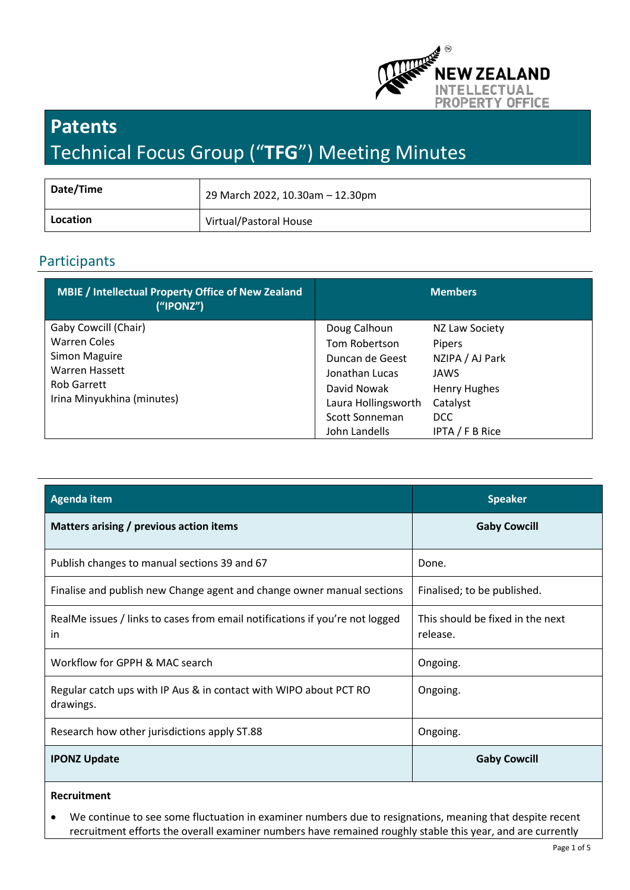

# **Patents** Technical Focus Group ("**TFG**") Meeting Minutes

| Date/Time | 29 March 2022, 10.30am - 12.30pm |
|-----------|----------------------------------|
| Location  | Virtual/Pastoral House           |

# Participants

| <b>MBIE / Intellectual Property Office of New Zealand</b><br>("IPONZ") | <b>Members</b>      |                     |
|------------------------------------------------------------------------|---------------------|---------------------|
| Gaby Cowcill (Chair)                                                   | Doug Calhoun        | NZ Law Society      |
| <b>Warren Coles</b>                                                    | Tom Robertson       | <b>Pipers</b>       |
| Simon Maguire                                                          | Duncan de Geest     | NZIPA / AJ Park     |
| Warren Hassett                                                         | Jonathan Lucas      | JAWS                |
| Rob Garrett                                                            | David Nowak         | <b>Henry Hughes</b> |
| Irina Minyukhina (minutes)                                             | Laura Hollingsworth | Catalyst            |
|                                                                        | Scott Sonneman      | <b>DCC</b>          |
|                                                                        | John Landells       | IPTA / F B Rice     |

| <b>Agenda item</b>                                                                 | <b>Speaker</b>                               |
|------------------------------------------------------------------------------------|----------------------------------------------|
| Matters arising / previous action items                                            | <b>Gaby Cowcill</b>                          |
| Publish changes to manual sections 39 and 67                                       | Done.                                        |
| Finalise and publish new Change agent and change owner manual sections             | Finalised; to be published.                  |
| RealMe issues / links to cases from email notifications if you're not logged<br>in | This should be fixed in the next<br>release. |
| Workflow for GPPH & MAC search                                                     | Ongoing.                                     |
| Regular catch ups with IP Aus & in contact with WIPO about PCT RO<br>drawings.     | Ongoing.                                     |
| Research how other jurisdictions apply ST.88                                       | Ongoing.                                     |
| <b>IPONZ Update</b>                                                                | <b>Gaby Cowcill</b>                          |

## **Recruitment**

• We continue to see some fluctuation in examiner numbers due to resignations, meaning that despite recent recruitment efforts the overall examiner numbers have remained roughly stable this year, and are currently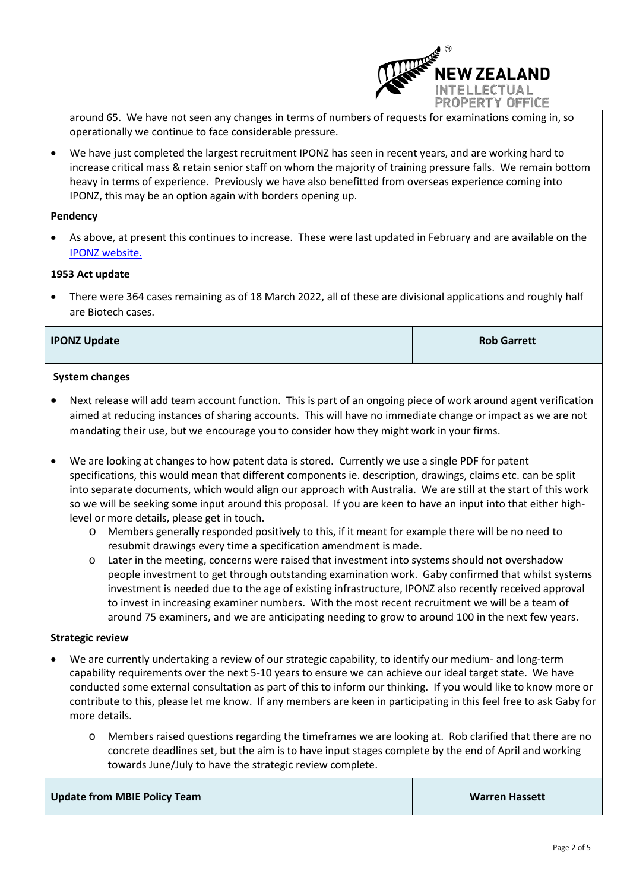

around 65. We have not seen any changes in terms of numbers of requests for examinations coming in, so operationally we continue to face considerable pressure.

• We have just completed the largest recruitment IPONZ has seen in recent years, and are working hard to increase critical mass & retain senior staff on whom the majority of training pressure falls. We remain bottom heavy in terms of experience. Previously we have also benefitted from overseas experience coming into IPONZ, this may be an option again with borders opening up.

#### **Pendency**

• As above, at present this continues to increase. These were last updated in February and are available on the [IPONZ website.](https://www.iponz.govt.nz/support/timeframes/)

#### **1953 Act update**

• There were 364 cases remaining as of 18 March 2022, all of these are divisional applications and roughly half are Biotech cases.

#### **IPONZ Update Rob Garrett**

#### **System changes**

- Next release will add team account function. This is part of an ongoing piece of work around agent verification aimed at reducing instances of sharing accounts. This will have no immediate change or impact as we are not mandating their use, but we encourage you to consider how they might work in your firms.
- We are looking at changes to how patent data is stored. Currently we use a single PDF for patent specifications, this would mean that different components ie. description, drawings, claims etc. can be split into separate documents, which would align our approach with Australia. We are still at the start of this work so we will be seeking some input around this proposal. If you are keen to have an input into that either highlevel or more details, please get in touch.
	- o Members generally responded positively to this, if it meant for example there will be no need to resubmit drawings every time a specification amendment is made.
	- o Later in the meeting, concerns were raised that investment into systems should not overshadow people investment to get through outstanding examination work. Gaby confirmed that whilst systems investment is needed due to the age of existing infrastructure, IPONZ also recently received approval to invest in increasing examiner numbers. With the most recent recruitment we will be a team of around 75 examiners, and we are anticipating needing to grow to around 100 in the next few years.

#### **Strategic review**

- We are currently undertaking a review of our strategic capability, to identify our medium- and long-term capability requirements over the next 5-10 years to ensure we can achieve our ideal target state. We have conducted some external consultation as part of this to inform our thinking. If you would like to know more or contribute to this, please let me know. If any members are keen in participating in this feel free to ask Gaby for more details.
	- o Members raised questions regarding the timeframes we are looking at. Rob clarified that there are no concrete deadlines set, but the aim is to have input stages complete by the end of April and working towards June/July to have the strategic review complete.

| <b>Update from MBIE Policy Team</b> | <b>Warren Hassett</b> |
|-------------------------------------|-----------------------|
|                                     |                       |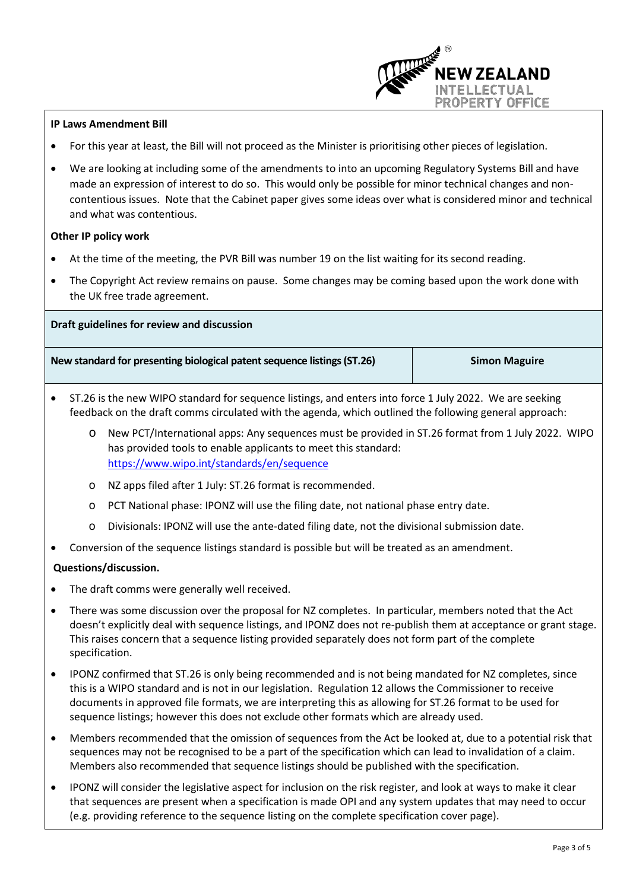

- For this year at least, the Bill will not proceed as the Minister is prioritising other pieces of legislation.
- We are looking at including some of the amendments to into an upcoming Regulatory Systems Bill and have made an expression of interest to do so. This would only be possible for minor technical changes and noncontentious issues. Note that the Cabinet paper gives some ideas over what is considered minor and technical and what was contentious.

#### **Other IP policy work**

- At the time of the meeting, the PVR Bill was number 19 on the list waiting for its second reading.
- The Copyright Act review remains on pause. Some changes may be coming based upon the work done with the UK free trade agreement.

**Draft guidelines for review and discussion**

**New standard for presenting biological patent sequence listings (ST.26) Simon Maguire**

**W ZEALAND ILLECTUAL** PROPERTY OFFICE

- ST.26 is the new WIPO standard for sequence listings, and enters into force 1 July 2022. We are seeking feedback on the draft comms circulated with the agenda, which outlined the following general approach:
	- o New PCT/International apps: Any sequences must be provided in ST.26 format from 1 July 2022. WIPO has provided tools to enable applicants to meet this standard: <https://www.wipo.int/standards/en/sequence>
	- o NZ apps filed after 1 July: ST.26 format is recommended.
	- o PCT National phase: IPONZ will use the filing date, not national phase entry date.
	- o Divisionals: IPONZ will use the ante-dated filing date, not the divisional submission date.
- Conversion of the sequence listings standard is possible but will be treated as an amendment.

## **Questions/discussion.**

- The draft comms were generally well received.
- There was some discussion over the proposal for NZ completes. In particular, members noted that the Act doesn't explicitly deal with sequence listings, and IPONZ does not re-publish them at acceptance or grant stage. This raises concern that a sequence listing provided separately does not form part of the complete specification.
- IPONZ confirmed that ST.26 is only being recommended and is not being mandated for NZ completes, since this is a WIPO standard and is not in our legislation. Regulation 12 allows the Commissioner to receive documents in approved file formats, we are interpreting this as allowing for ST.26 format to be used for sequence listings; however this does not exclude other formats which are already used.
- Members recommended that the omission of sequences from the Act be looked at, due to a potential risk that sequences may not be recognised to be a part of the specification which can lead to invalidation of a claim. Members also recommended that sequence listings should be published with the specification.
- IPONZ will consider the legislative aspect for inclusion on the risk register, and look at ways to make it clear that sequences are present when a specification is made OPI and any system updates that may need to occur (e.g. providing reference to the sequence listing on the complete specification cover page).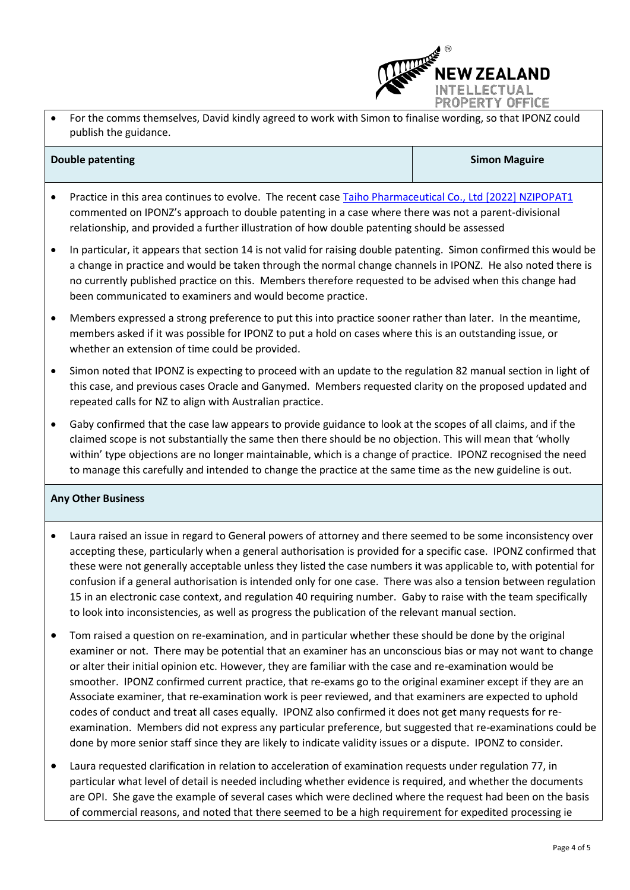

• For the comms themselves, David kindly agreed to work with Simon to finalise wording, so that IPONZ could publish the guidance.

#### **Double patenting Simon Maguire Simon Maguire**

- Practice in this area continues to evolve. The recent case [Taiho Pharmaceutical Co., Ltd \[2022\] NZIPOPAT1](http://www.nzlii.org/nz/cases/NZIPOPAT/2022/1.html) commented on IPONZ's approach to double patenting in a case where there was not a parent-divisional relationship, and provided a further illustration of how double patenting should be assessed
- In particular, it appears that section 14 is not valid for raising double patenting. Simon confirmed this would be a change in practice and would be taken through the normal change channels in IPONZ. He also noted there is no currently published practice on this. Members therefore requested to be advised when this change had been communicated to examiners and would become practice.
- Members expressed a strong preference to put this into practice sooner rather than later. In the meantime, members asked if it was possible for IPONZ to put a hold on cases where this is an outstanding issue, or whether an extension of time could be provided.
- Simon noted that IPONZ is expecting to proceed with an update to the regulation 82 manual section in light of this case, and previous cases Oracle and Ganymed. Members requested clarity on the proposed updated and repeated calls for NZ to align with Australian practice.
- Gaby confirmed that the case law appears to provide guidance to look at the scopes of all claims, and if the claimed scope is not substantially the same then there should be no objection. This will mean that 'wholly within' type objections are no longer maintainable, which is a change of practice. IPONZ recognised the need to manage this carefully and intended to change the practice at the same time as the new guideline is out.

## **Any Other Business**

- Laura raised an issue in regard to General powers of attorney and there seemed to be some inconsistency over accepting these, particularly when a general authorisation is provided for a specific case. IPONZ confirmed that these were not generally acceptable unless they listed the case numbers it was applicable to, with potential for confusion if a general authorisation is intended only for one case. There was also a tension between regulation 15 in an electronic case context, and regulation 40 requiring number. Gaby to raise with the team specifically to look into inconsistencies, as well as progress the publication of the relevant manual section.
- Tom raised a question on re-examination, and in particular whether these should be done by the original examiner or not. There may be potential that an examiner has an unconscious bias or may not want to change or alter their initial opinion etc. However, they are familiar with the case and re-examination would be smoother. IPONZ confirmed current practice, that re-exams go to the original examiner except if they are an Associate examiner, that re-examination work is peer reviewed, and that examiners are expected to uphold codes of conduct and treat all cases equally. IPONZ also confirmed it does not get many requests for reexamination. Members did not express any particular preference, but suggested that re-examinations could be done by more senior staff since they are likely to indicate validity issues or a dispute. IPONZ to consider.
- Laura requested clarification in relation to acceleration of examination requests under regulation 77, in particular what level of detail is needed including whether evidence is required, and whether the documents are OPI. She gave the example of several cases which were declined where the request had been on the basis of commercial reasons, and noted that there seemed to be a high requirement for expedited processing ie